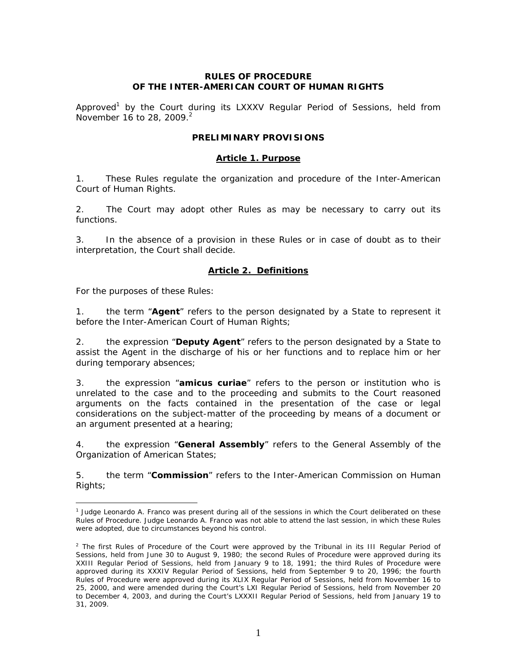#### **RULES OF PROCEDURE OF THE INTER-AMERICAN COURT OF HUMAN RIGHTS**

Approved<sup>1</sup> by the Court during its LXXXV Regular Period of Sessions, held from November 16 to 28, 2009.<sup>2</sup>

#### **PRELIMINARY PROVISIONS**

#### **Article 1. Purpose**

1. These Rules regulate the organization and procedure of the Inter-American Court of Human Rights.

2. The Court may adopt other Rules as may be necessary to carry out its functions.

3. In the absence of a provision in these Rules or in case of doubt as to their interpretation, the Court shall decide.

#### **Article 2. Definitions**

For the purposes of these Rules:

 $\overline{a}$ 

1. the term "**Agent**" refers to the person designated by a State to represent it before the Inter-American Court of Human Rights;

2. the expression "**Deputy Agent**" refers to the person designated by a State to assist the Agent in the discharge of his or her functions and to replace him or her during temporary absences;

3. the expression "*amicus curiae*" refers to the person or institution who is unrelated to the case and to the proceeding and submits to the Court reasoned arguments on the facts contained in the presentation of the case or legal considerations on the subject-matter of the proceeding by means of a document or an argument presented at a hearing;

4. the expression "**General Assembly**" refers to the General Assembly of the Organization of American States;

5. the term "**Commission**" refers to the Inter-American Commission on Human Rights;

<sup>&</sup>lt;sup>1</sup> Judge Leonardo A. Franco was present during all of the sessions in which the Court deliberated on these Rules of Procedure. Judge Leonardo A. Franco was not able to attend the last session, in which these Rules were adopted, due to circumstances beyond his control.

<sup>&</sup>lt;sup>2</sup> The first Rules of Procedure of the Court were approved by the Tribunal in its III Regular Period of Sessions, held from June 30 to August 9, 1980; the second Rules of Procedure were approved during its XXIII Regular Period of Sessions, held from January 9 to 18, 1991; the third Rules of Procedure were approved during its XXXIV Regular Period of Sessions, held from September 9 to 20, 1996; the fourth Rules of Procedure were approved during its XLIX Regular Period of Sessions, held from November 16 to 25, 2000, and were amended during the Court's LXI Regular Period of Sessions, held from November 20 to December 4, 2003, and during the Court's LXXXII Regular Period of Sessions, held from January 19 to 31, 2009.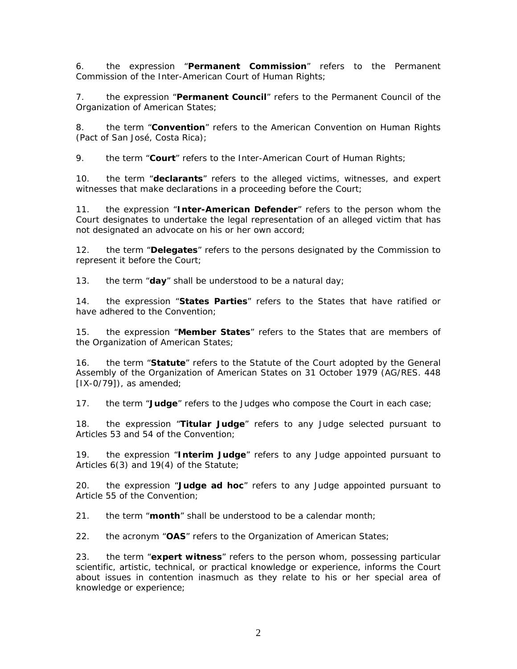6. the expression "**Permanent Commission**" refers to the Permanent Commission of the Inter-American Court of Human Rights;

7. the expression "**Permanent Council**" refers to the Permanent Council of the Organization of American States;

8. the term "**Convention**" refers to the American Convention on Human Rights (Pact of San José, Costa Rica);

9. the term "**Court**" refers to the Inter-American Court of Human Rights;

10. the term "**declarants**" refers to the alleged victims, witnesses, and expert witnesses that make declarations in a proceeding before the Court;

11. the expression "**Inter-American Defender**" refers to the person whom the Court designates to undertake the legal representation of an alleged victim that has not designated an advocate on his or her own accord;

12. the term "**Delegates**" refers to the persons designated by the Commission to represent it before the Court;

13. the term "**day**" shall be understood to be a natural day;

14. the expression "**States Parties**" refers to the States that have ratified or have adhered to the Convention;

15. the expression "**Member States**" refers to the States that are members of the Organization of American States;

16. the term "**Statute**" refers to the Statute of the Court adopted by the General Assembly of the Organization of American States on 31 October 1979 (AG/RES. 448  $[IX-0/79]$ , as amended;

17. the term "**Judge**" refers to the Judges who compose the Court in each case;

18. the expression "**Titular Judge**" refers to any Judge selected pursuant to Articles 53 and 54 of the Convention;

19. the expression "**Interim Judge**" refers to any Judge appointed pursuant to Articles 6(3) and 19(4) of the Statute;

20. the expression "**Judge** *ad hoc*" refers to any Judge appointed pursuant to Article 55 of the Convention;

21. the term "**month**" shall be understood to be a calendar month;

22. the acronym "**OAS**" refers to the Organization of American States;

23. the term "**expert witness**" refers to the person whom, possessing particular scientific, artistic, technical, or practical knowledge or experience, informs the Court about issues in contention inasmuch as they relate to his or her special area of knowledge or experience;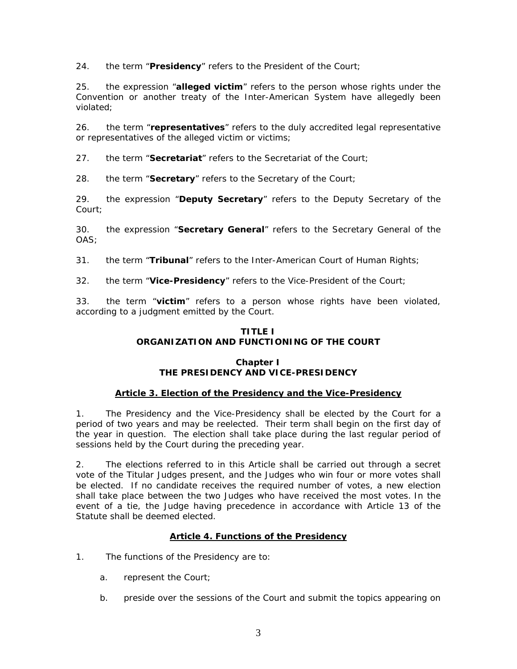24. the term "**Presidency**" refers to the President of the Court;

25. the expression "**alleged victim**" refers to the person whose rights under the Convention or another treaty of the Inter-American System have allegedly been violated;

26. the term "**representatives**" refers to the duly accredited legal representative or representatives of the alleged victim or victims;

27. the term "**Secretariat**" refers to the Secretariat of the Court;

28. the term "**Secretary**" refers to the Secretary of the Court;

29. the expression "**Deputy Secretary**" refers to the Deputy Secretary of the Court;

30. the expression "**Secretary General**" refers to the Secretary General of the OAS;

31. the term "**Tribunal**" refers to the Inter-American Court of Human Rights;

32. the term "**Vice-Presidency**" refers to the Vice-President of the Court;

33. the term "**victim**" refers to a person whose rights have been violated, according to a judgment emitted by the Court.

# **TITLE I ORGANIZATION AND FUNCTIONING OF THE COURT**

### **Chapter I THE PRESIDENCY AND VICE-PRESIDENCY**

### **Article 3. Election of the Presidency and the Vice-Presidency**

1. The Presidency and the Vice-Presidency shall be elected by the Court for a period of two years and may be reelected. Their term shall begin on the first day of the year in question. The election shall take place during the last regular period of sessions held by the Court during the preceding year.

2. The elections referred to in this Article shall be carried out through a secret vote of the Titular Judges present, and the Judges who win four or more votes shall be elected. If no candidate receives the required number of votes, a new election shall take place between the two Judges who have received the most votes. In the event of a tie, the Judge having precedence in accordance with Article 13 of the Statute shall be deemed elected.

# **Article 4. Functions of the Presidency**

- 1. The functions of the Presidency are to:
	- a. represent the Court;
	- b. preside over the sessions of the Court and submit the topics appearing on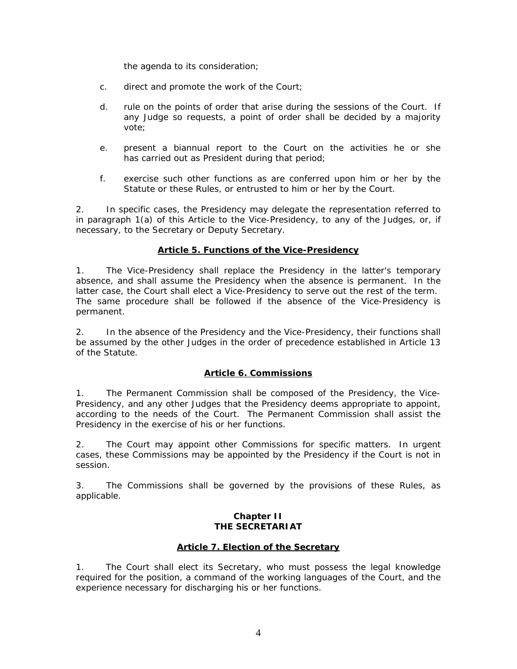the agenda to its consideration;

- c. direct and promote the work of the Court;
- d. rule on the points of order that arise during the sessions of the Court. If any Judge so requests, a point of order shall be decided by a majority vote;
- e. present a biannual report to the Court on the activities he or she has carried out as President during that period;
- f. exercise such other functions as are conferred upon him or her by the Statute or these Rules, or entrusted to him or her by the Court.

2. In specific cases, the Presidency may delegate the representation referred to in paragraph 1(a) of this Article to the Vice-Presidency, to any of the Judges, or, if necessary, to the Secretary or Deputy Secretary.

### **Article 5. Functions of the Vice-Presidency**

1. The Vice-Presidency shall replace the Presidency in the latter's temporary absence, and shall assume the Presidency when the absence is permanent. In the latter case, the Court shall elect a Vice-Presidency to serve out the rest of the term. The same procedure shall be followed if the absence of the Vice-Presidency is permanent.

2. In the absence of the Presidency and the Vice-Presidency, their functions shall be assumed by the other Judges in the order of precedence established in Article 13 of the Statute.

### **Article 6. Commissions**

1. The Permanent Commission shall be composed of the Presidency, the Vice-Presidency, and any other Judges that the Presidency deems appropriate to appoint, according to the needs of the Court. The Permanent Commission shall assist the Presidency in the exercise of his or her functions.

2. The Court may appoint other Commissions for specific matters. In urgent cases, these Commissions may be appointed by the Presidency if the Court is not in session.

3. The Commissions shall be governed by the provisions of these Rules, as applicable.

#### **Chapter II THE SECRETARIAT**

### **Article 7. Election of the Secretary**

1. The Court shall elect its Secretary, who must possess the legal knowledge required for the position, a command of the working languages of the Court, and the experience necessary for discharging his or her functions.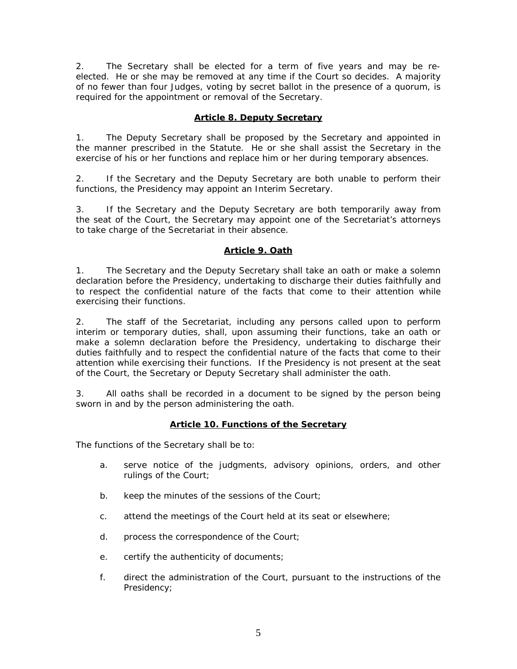2. The Secretary shall be elected for a term of five years and may be reelected. He or she may be removed at any time if the Court so decides. A majority of no fewer than four Judges, voting by secret ballot in the presence of a quorum, is required for the appointment or removal of the Secretary.

### **Article 8. Deputy Secretary**

1. The Deputy Secretary shall be proposed by the Secretary and appointed in the manner prescribed in the Statute. He or she shall assist the Secretary in the exercise of his or her functions and replace him or her during temporary absences.

2. If the Secretary and the Deputy Secretary are both unable to perform their functions, the Presidency may appoint an Interim Secretary.

3. If the Secretary and the Deputy Secretary are both temporarily away from the seat of the Court, the Secretary may appoint one of the Secretariat's attorneys to take charge of the Secretariat in their absence.

### **Article 9. Oath**

1. The Secretary and the Deputy Secretary shall take an oath or make a solemn declaration before the Presidency, undertaking to discharge their duties faithfully and to respect the confidential nature of the facts that come to their attention while exercising their functions.

2. The staff of the Secretariat, including any persons called upon to perform interim or temporary duties, shall, upon assuming their functions, take an oath or make a solemn declaration before the Presidency, undertaking to discharge their duties faithfully and to respect the confidential nature of the facts that come to their attention while exercising their functions. If the Presidency is not present at the seat of the Court, the Secretary or Deputy Secretary shall administer the oath.

3. All oaths shall be recorded in a document to be signed by the person being sworn in and by the person administering the oath.

### **Article 10. Functions of the Secretary**

The functions of the Secretary shall be to:

- a. serve notice of the judgments, advisory opinions, orders, and other rulings of the Court;
- b. keep the minutes of the sessions of the Court;
- c. attend the meetings of the Court held at its seat or elsewhere;
- d. process the correspondence of the Court;
- e. certify the authenticity of documents;
- f. direct the administration of the Court, pursuant to the instructions of the Presidency;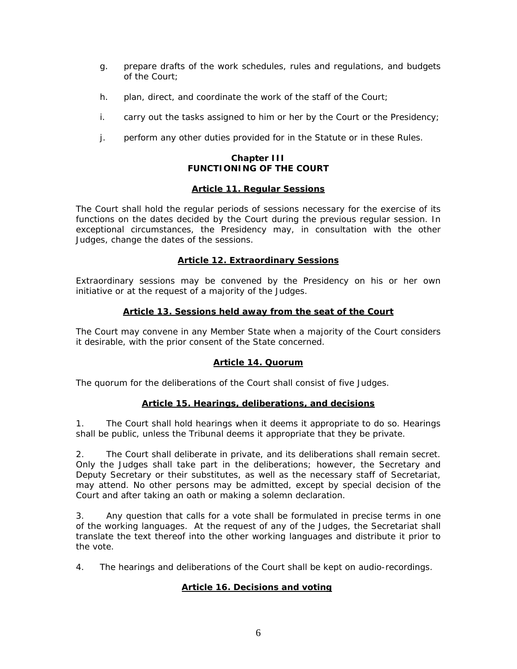- g. prepare drafts of the work schedules, rules and regulations, and budgets of the Court;
- h. plan, direct, and coordinate the work of the staff of the Court;
- i. carry out the tasks assigned to him or her by the Court or the Presidency;
- j. perform any other duties provided for in the Statute or in these Rules.

### **Chapter III FUNCTIONING OF THE COURT**

### **Article 11. Regular Sessions**

The Court shall hold the regular periods of sessions necessary for the exercise of its functions on the dates decided by the Court during the previous regular session. In exceptional circumstances, the Presidency may, in consultation with the other Judges, change the dates of the sessions.

### **Article 12. Extraordinary Sessions**

Extraordinary sessions may be convened by the Presidency on his or her own initiative or at the request of a majority of the Judges.

### **Article 13. Sessions held away from the seat of the Court**

The Court may convene in any Member State when a majority of the Court considers it desirable, with the prior consent of the State concerned.

### **Article 14. Quorum**

The quorum for the deliberations of the Court shall consist of five Judges.

### **Article 15. Hearings, deliberations, and decisions**

1. The Court shall hold hearings when it deems it appropriate to do so. Hearings shall be public, unless the Tribunal deems it appropriate that they be private.

2. The Court shall deliberate in private, and its deliberations shall remain secret. Only the Judges shall take part in the deliberations; however, the Secretary and Deputy Secretary or their substitutes, as well as the necessary staff of Secretariat, may attend. No other persons may be admitted, except by special decision of the Court and after taking an oath or making a solemn declaration.

3. Any question that calls for a vote shall be formulated in precise terms in one of the working languages. At the request of any of the Judges, the Secretariat shall translate the text thereof into the other working languages and distribute it prior to the vote.

4. The hearings and deliberations of the Court shall be kept on audio-recordings.

# **Article 16. Decisions and voting**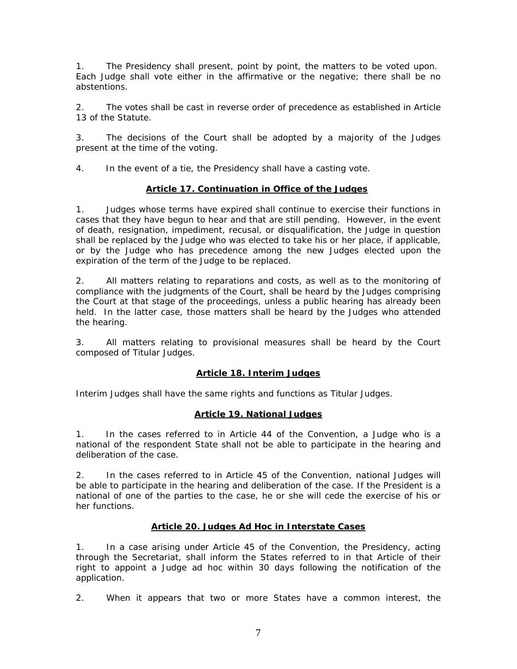1. The Presidency shall present, point by point, the matters to be voted upon. Each Judge shall vote either in the affirmative or the negative; there shall be no abstentions.

2. The votes shall be cast in reverse order of precedence as established in Article 13 of the Statute.

3. The decisions of the Court shall be adopted by a majority of the Judges present at the time of the voting.

4. In the event of a tie, the Presidency shall have a casting vote.

### **Article 17. Continuation in Office of the Judges**

1. Judges whose terms have expired shall continue to exercise their functions in cases that they have begun to hear and that are still pending. However, in the event of death, resignation, impediment, recusal, or disqualification, the Judge in question shall be replaced by the Judge who was elected to take his or her place, if applicable, or by the Judge who has precedence among the new Judges elected upon the expiration of the term of the Judge to be replaced.

2. All matters relating to reparations and costs, as well as to the monitoring of compliance with the judgments of the Court, shall be heard by the Judges comprising the Court at that stage of the proceedings, unless a public hearing has already been held. In the latter case, those matters shall be heard by the Judges who attended the hearing.

3. All matters relating to provisional measures shall be heard by the Court composed of Titular Judges.

# **Article 18. Interim Judges**

Interim Judges shall have the same rights and functions as Titular Judges.

### **Article 19. National Judges**

1. In the cases referred to in Article 44 of the Convention, a Judge who is a national of the respondent State shall not be able to participate in the hearing and deliberation of the case.

2. In the cases referred to in Article 45 of the Convention, national Judges will be able to participate in the hearing and deliberation of the case. If the President is a national of one of the parties to the case, he or she will cede the exercise of his or her functions.

### **Article 20. Judges** *Ad Hoc* **in Interstate Cases**

1. In a case arising under Article 45 of the Convention, the Presidency, acting through the Secretariat, shall inform the States referred to in that Article of their right to appoint a Judge *ad hoc* within 30 days following the notification of the application.

2. When it appears that two or more States have a common interest, the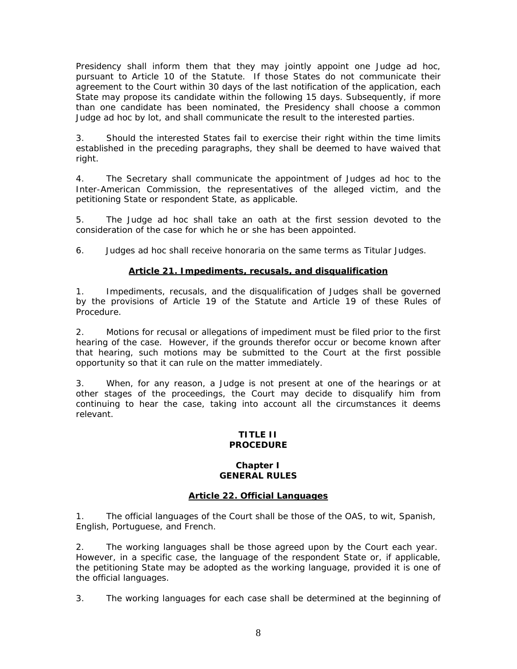Presidency shall inform them that they may jointly appoint one Judge *ad hoc*, pursuant to Article 10 of the Statute. If those States do not communicate their agreement to the Court within 30 days of the last notification of the application, each State may propose its candidate within the following 15 days. Subsequently, if more than one candidate has been nominated, the Presidency shall choose a common Judge *ad hoc* by lot, and shall communicate the result to the interested parties.

3. Should the interested States fail to exercise their right within the time limits established in the preceding paragraphs, they shall be deemed to have waived that right.

4. The Secretary shall communicate the appointment of Judges *ad hoc* to the Inter-American Commission, the representatives of the alleged victim, and the petitioning State or respondent State, as applicable.

5. The Judge *ad hoc* shall take an oath at the first session devoted to the consideration of the case for which he or she has been appointed.

6. Judges *ad hoc* shall receive honoraria on the same terms as Titular Judges.

### **Article 21. Impediments, recusals, and disqualification**

1. Impediments, recusals, and the disqualification of Judges shall be governed by the provisions of Article 19 of the Statute and Article 19 of these Rules of Procedure.

2. Motions for recusal or allegations of impediment must be filed prior to the first hearing of the case. However, if the grounds therefor occur or become known after that hearing, such motions may be submitted to the Court at the first possible opportunity so that it can rule on the matter immediately.

3. When, for any reason, a Judge is not present at one of the hearings or at other stages of the proceedings, the Court may decide to disqualify him from continuing to hear the case, taking into account all the circumstances it deems relevant.

### **TITLE II PROCEDURE**

# **Chapter I GENERAL RULES**

### **Article 22. Official Languages**

1. The official languages of the Court shall be those of the OAS, to wit, Spanish, English, Portuguese, and French.

2. The working languages shall be those agreed upon by the Court each year. However, in a specific case, the language of the respondent State or, if applicable, the petitioning State may be adopted as the working language, provided it is one of the official languages.

3. The working languages for each case shall be determined at the beginning of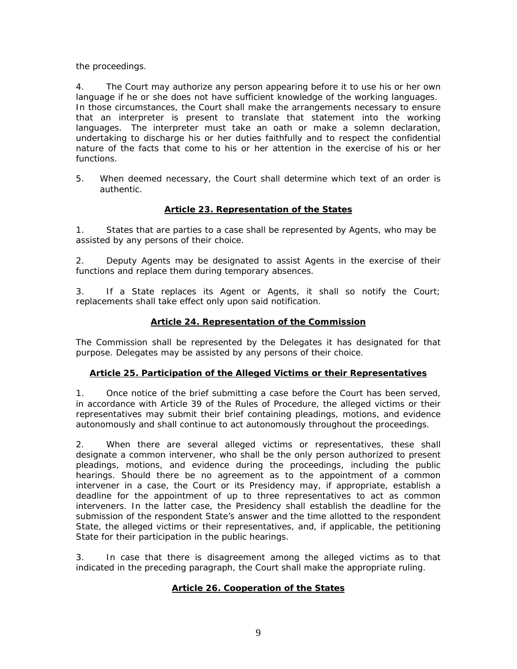the proceedings.

4. The Court may authorize any person appearing before it to use his or her own language if he or she does not have sufficient knowledge of the working languages. In those circumstances, the Court shall make the arrangements necessary to ensure that an interpreter is present to translate that statement into the working languages. The interpreter must take an oath or make a solemn declaration, undertaking to discharge his or her duties faithfully and to respect the confidential nature of the facts that come to his or her attention in the exercise of his or her functions.

5. When deemed necessary, the Court shall determine which text of an order is authentic.

# **Article 23. Representation of the States**

1. States that are parties to a case shall be represented by Agents, who may be assisted by any persons of their choice.

2. Deputy Agents may be designated to assist Agents in the exercise of their functions and replace them during temporary absences.

3. If a State replaces its Agent or Agents, it shall so notify the Court; replacements shall take effect only upon said notification.

### **Article 24. Representation of the Commission**

The Commission shall be represented by the Delegates it has designated for that purpose. Delegates may be assisted by any persons of their choice.

### **Article 25. Participation of the Alleged Victims or their Representatives**

1. Once notice of the brief submitting a case before the Court has been served, in accordance with Article 39 of the Rules of Procedure, the alleged victims or their representatives may submit their brief containing pleadings, motions, and evidence autonomously and shall continue to act autonomously throughout the proceedings.

2. When there are several alleged victims or representatives, these shall designate a common intervener, who shall be the only person authorized to present pleadings, motions, and evidence during the proceedings, including the public hearings. Should there be no agreement as to the appointment of a common intervener in a case, the Court or its Presidency may, if appropriate, establish a deadline for the appointment of up to three representatives to act as common interveners. In the latter case, the Presidency shall establish the deadline for the submission of the respondent State's answer and the time allotted to the respondent State, the alleged victims or their representatives, and, if applicable, the petitioning State for their participation in the public hearings.

3. In case that there is disagreement among the alleged victims as to that indicated in the preceding paragraph, the Court shall make the appropriate ruling.

# **Article 26. Cooperation of the States**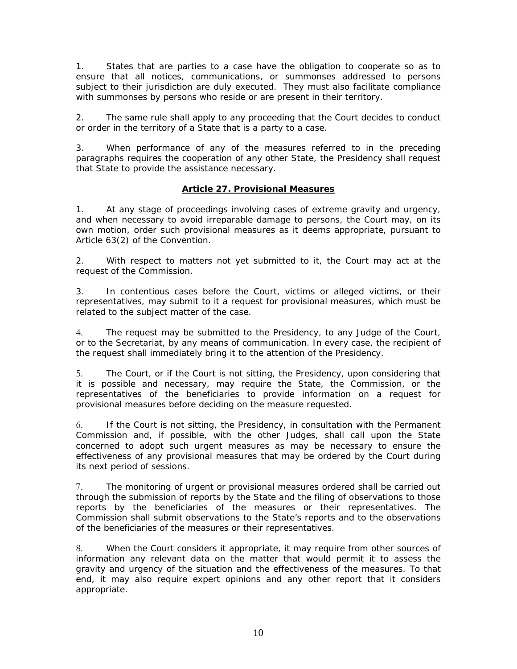1. States that are parties to a case have the obligation to cooperate so as to ensure that all notices, communications, or summonses addressed to persons subject to their jurisdiction are duly executed. They must also facilitate compliance with summonses by persons who reside or are present in their territory.

2. The same rule shall apply to any proceeding that the Court decides to conduct or order in the territory of a State that is a party to a case.

3. When performance of any of the measures referred to in the preceding paragraphs requires the cooperation of any other State, the Presidency shall request that State to provide the assistance necessary.

### **Article 27. Provisional Measures**

1. At any stage of proceedings involving cases of extreme gravity and urgency, and when necessary to avoid irreparable damage to persons, the Court may, on its own motion, order such provisional measures as it deems appropriate, pursuant to Article 63(2) of the Convention.

2. With respect to matters not yet submitted to it, the Court may act at the request of the Commission.

3. In contentious cases before the Court, victims or alleged victims, or their representatives, may submit to it a request for provisional measures, which must be related to the subject matter of the case.

4. The request may be submitted to the Presidency, to any Judge of the Court, or to the Secretariat, by any means of communication. In every case, the recipient of the request shall immediately bring it to the attention of the Presidency.

5. The Court, or if the Court is not sitting, the Presidency, upon considering that it is possible and necessary, may require the State, the Commission, or the representatives of the beneficiaries to provide information on a request for provisional measures before deciding on the measure requested.

6. If the Court is not sitting, the Presidency, in consultation with the Permanent Commission and, if possible, with the other Judges, shall call upon the State concerned to adopt such urgent measures as may be necessary to ensure the effectiveness of any provisional measures that may be ordered by the Court during its next period of sessions.

7. The monitoring of urgent or provisional measures ordered shall be carried out through the submission of reports by the State and the filing of observations to those reports by the beneficiaries of the measures or their representatives. The Commission shall submit observations to the State's reports and to the observations of the beneficiaries of the measures or their representatives.

8. When the Court considers it appropriate, it may require from other sources of information any relevant data on the matter that would permit it to assess the gravity and urgency of the situation and the effectiveness of the measures. To that end, it may also require expert opinions and any other report that it considers appropriate.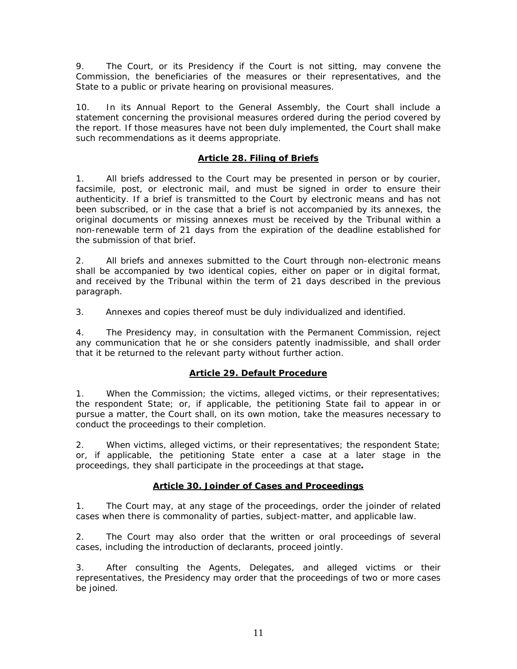9. The Court, or its Presidency if the Court is not sitting, may convene the Commission, the beneficiaries of the measures or their representatives, and the State to a public or private hearing on provisional measures.

10. In its Annual Report to the General Assembly, the Court shall include a statement concerning the provisional measures ordered during the period covered by the report. If those measures have not been duly implemented, the Court shall make such recommendations as it deems appropriate.

## **Article 28. Filing of Briefs**

1. All briefs addressed to the Court may be presented in person or by courier, facsimile, post, or electronic mail, and must be signed in order to ensure their authenticity. If a brief is transmitted to the Court by electronic means and has not been subscribed, or in the case that a brief is not accompanied by its annexes, the original documents or missing annexes must be received by the Tribunal within a non-renewable term of 21 days from the expiration of the deadline established for the submission of that brief.

2. All briefs and annexes submitted to the Court through non-electronic means shall be accompanied by two identical copies, either on paper or in digital format, and received by the Tribunal within the term of 21 days described in the previous paragraph.

3. Annexes and copies thereof must be duly individualized and identified.

4. The Presidency may, in consultation with the Permanent Commission, reject any communication that he or she considers patently inadmissible, and shall order that it be returned to the relevant party without further action.

### **Article 29. Default Procedure**

1. When the Commission; the victims, alleged victims, or their representatives; the respondent State; or, if applicable, the petitioning State fail to appear in or pursue a matter, the Court shall, on its own motion, take the measures necessary to conduct the proceedings to their completion.

2. When victims, alleged victims, or their representatives; the respondent State; or, if applicable, the petitioning State enter a case at a later stage in the proceedings, they shall participate in the proceedings at that stage**.** 

### **Article 30. Joinder of Cases and Proceedings**

1. The Court may, at any stage of the proceedings, order the joinder of related cases when there is commonality of parties, subject-matter, and applicable law.

2. The Court may also order that the written or oral proceedings of several cases, including the introduction of declarants, proceed jointly.

3. After consulting the Agents, Delegates, and alleged victims or their representatives, the Presidency may order that the proceedings of two or more cases be joined.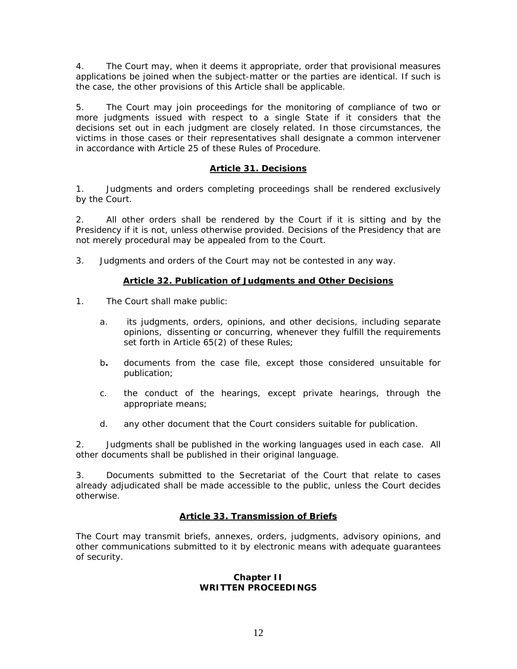4. The Court may, when it deems it appropriate, order that provisional measures applications be joined when the subject-matter or the parties are identical. If such is the case, the other provisions of this Article shall be applicable.

5. The Court may join proceedings for the monitoring of compliance of two or more judgments issued with respect to a single State if it considers that the decisions set out in each judgment are closely related. In those circumstances, the victims in those cases or their representatives shall designate a common intervener in accordance with Article 25 of these Rules of Procedure.

### **Article 31. Decisions**

1. Judgments and orders completing proceedings shall be rendered exclusively by the Court.

2. All other orders shall be rendered by the Court if it is sitting and by the Presidency if it is not, unless otherwise provided. Decisions of the Presidency that are not merely procedural may be appealed from to the Court.

3. Judgments and orders of the Court may not be contested in any way.

# **Article 32. Publication of Judgments and Other Decisions**

- 1. The Court shall make public:
	- a. its judgments, orders, opinions, and other decisions, including separate opinions, dissenting or concurring, whenever they fulfill the requirements set forth in Article 65(2) of these Rules;
	- b**.** documents from the case file, except those considered unsuitable for publication;
	- c. the conduct of the hearings, except private hearings, through the appropriate means;
	- d. any other document that the Court considers suitable for publication.

2. Judgments shall be published in the working languages used in each case. All other documents shall be published in their original language.

3. Documents submitted to the Secretariat of the Court that relate to cases already adjudicated shall be made accessible to the public, unless the Court decides otherwise.

### **Article 33. Transmission of Briefs**

The Court may transmit briefs, annexes, orders, judgments, advisory opinions, and other communications submitted to it by electronic means with adequate guarantees of security.

#### **Chapter II WRITTEN PROCEEDINGS**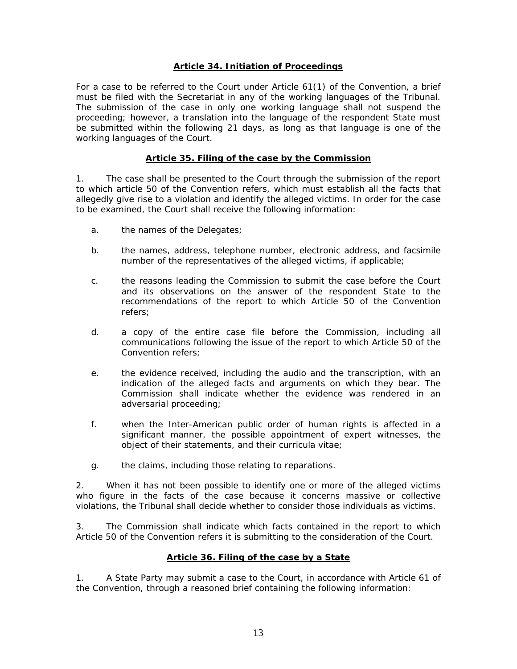### **Article 34. Initiation of Proceedings**

For a case to be referred to the Court under Article 61(1) of the Convention, a brief must be filed with the Secretariat in any of the working languages of the Tribunal. The submission of the case in only one working language shall not suspend the proceeding; however, a translation into the language of the respondent State must be submitted within the following 21 days, as long as that language is one of the working languages of the Court.

### **Article 35. Filing of the case by the Commission**

1. The case shall be presented to the Court through the submission of the report to which article 50 of the Convention refers, which must establish all the facts that allegedly give rise to a violation and identify the alleged victims. In order for the case to be examined, the Court shall receive the following information:

- a. the names of the Delegates;
- b. the names, address, telephone number, electronic address, and facsimile number of the representatives of the alleged victims, if applicable;
- c. the reasons leading the Commission to submit the case before the Court and its observations on the answer of the respondent State to the recommendations of the report to which Article 50 of the Convention refers;
- d. a copy of the entire case file before the Commission, including all communications following the issue of the report to which Article 50 of the Convention refers;
- e. the evidence received, including the audio and the transcription, with an indication of the alleged facts and arguments on which they bear. The Commission shall indicate whether the evidence was rendered in an adversarial proceeding;
- f. when the Inter-American public order of human rights is affected in a significant manner, the possible appointment of expert witnesses, the object of their statements, and their *curricula vitae*;
- g. the claims, including those relating to reparations.

2. When it has not been possible to identify one or more of the alleged victims who figure in the facts of the case because it concerns massive or collective violations, the Tribunal shall decide whether to consider those individuals as victims.

3. The Commission shall indicate which facts contained in the report to which Article 50 of the Convention refers it is submitting to the consideration of the Court.

### **Article 36. Filing of the case by a State**

1. A State Party may submit a case to the Court, in accordance with Article 61 of the Convention, through a reasoned brief containing the following information: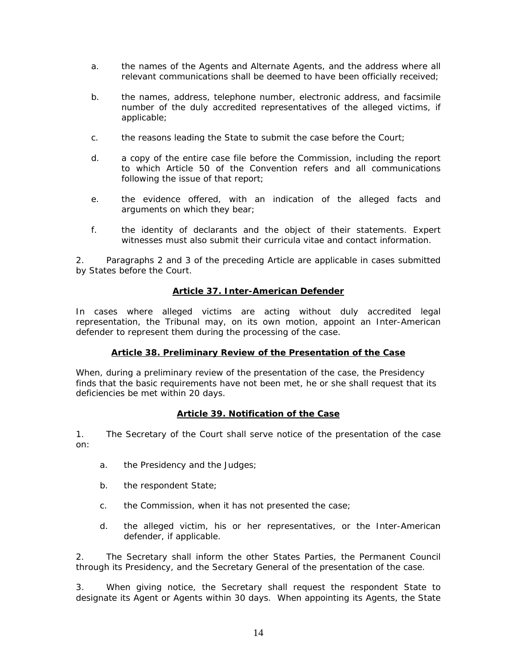- a. the names of the Agents and Alternate Agents, and the address where all relevant communications shall be deemed to have been officially received;
- b. the names, address, telephone number, electronic address, and facsimile number of the duly accredited representatives of the alleged victims, if applicable;
- c. the reasons leading the State to submit the case before the Court;
- d. a copy of the entire case file before the Commission, including the report to which Article 50 of the Convention refers and all communications following the issue of that report;
- e. the evidence offered, with an indication of the alleged facts and arguments on which they bear;
- f. the identity of declarants and the object of their statements. Expert witnesses must also submit their *curricula vitae* and contact information.

2. Paragraphs 2 and 3 of the preceding Article are applicable in cases submitted by States before the Court.

### **Article 37. Inter-American Defender**

In cases where alleged victims are acting without duly accredited legal representation, the Tribunal may, on its own motion, appoint an Inter-American defender to represent them during the processing of the case.

### **Article 38. Preliminary Review of the Presentation of the Case**

When, during a preliminary review of the presentation of the case, the Presidency finds that the basic requirements have not been met, he or she shall request that its deficiencies be met within 20 days.

# **Article 39. Notification of the Case**

1. The Secretary of the Court shall serve notice of the presentation of the case on:

- a. the Presidency and the Judges;
- b. the respondent State;
- c. the Commission, when it has not presented the case;
- d. the alleged victim, his or her representatives, or the Inter-American defender, if applicable.

2. The Secretary shall inform the other States Parties, the Permanent Council through its Presidency, and the Secretary General of the presentation of the case.

3. When giving notice, the Secretary shall request the respondent State to designate its Agent or Agents within 30 days. When appointing its Agents, the State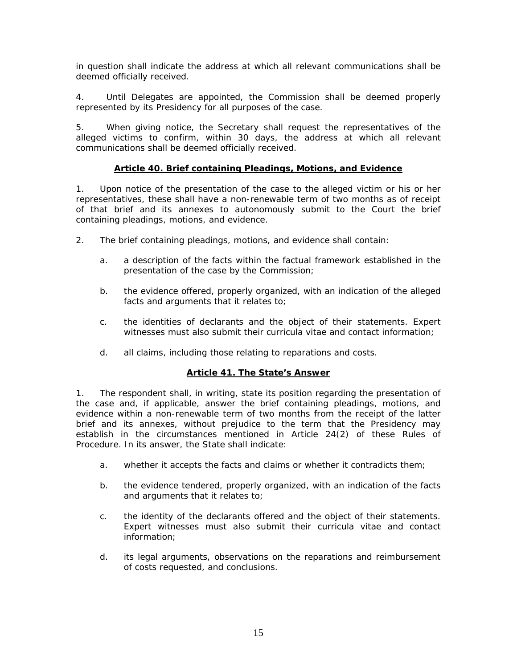in question shall indicate the address at which all relevant communications shall be deemed officially received.

4. Until Delegates are appointed, the Commission shall be deemed properly represented by its Presidency for all purposes of the case.

5. When giving notice, the Secretary shall request the representatives of the alleged victims to confirm, within 30 days, the address at which all relevant communications shall be deemed officially received.

### **Article 40. Brief containing Pleadings, Motions, and Evidence**

1. Upon notice of the presentation of the case to the alleged victim or his or her representatives, these shall have a non-renewable term of two months as of receipt of that brief and its annexes to autonomously submit to the Court the brief containing pleadings, motions, and evidence.

- 2. The brief containing pleadings, motions, and evidence shall contain:
	- a. a description of the facts within the factual framework established in the presentation of the case by the Commission;
	- b. the evidence offered, properly organized, with an indication of the alleged facts and arguments that it relates to;
	- c. the identities of declarants and the object of their statements. Expert witnesses must also submit their *curricula vitae* and contact information;
	- d. all claims, including those relating to reparations and costs.

# **Article 41. The State's Answer**

1. The respondent shall, in writing, state its position regarding the presentation of the case and, if applicable, answer the brief containing pleadings, motions, and evidence within a non-renewable term of two months from the receipt of the latter brief and its annexes, without prejudice to the term that the Presidency may establish in the circumstances mentioned in Article 24(2) of these Rules of Procedure. In its answer, the State shall indicate:

- a. whether it accepts the facts and claims or whether it contradicts them;
- b. the evidence tendered, properly organized, with an indication of the facts and arguments that it relates to;
- c. the identity of the declarants offered and the object of their statements. Expert witnesses must also submit their *curricula vitae* and contact information;
- d. its legal arguments, observations on the reparations and reimbursement of costs requested, and conclusions.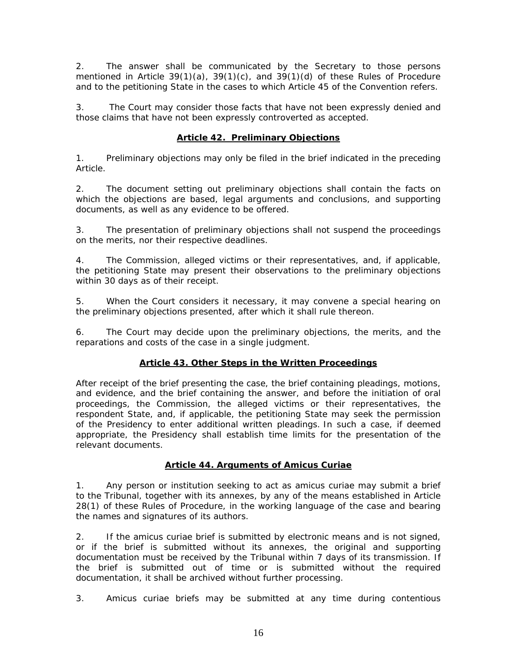2. The answer shall be communicated by the Secretary to those persons mentioned in Article 39(1)(a), 39(1)(c), and 39(1)(d) of these Rules of Procedure and to the petitioning State in the cases to which Article 45 of the Convention refers.

3. The Court may consider those facts that have not been expressly denied and those claims that have not been expressly controverted as accepted.

## **Article 42. Preliminary Objections**

1. Preliminary objections may only be filed in the brief indicated in the preceding Article.

2. The document setting out preliminary objections shall contain the facts on which the objections are based, legal arguments and conclusions, and supporting documents, as well as any evidence to be offered.

3. The presentation of preliminary objections shall not suspend the proceedings on the merits, nor their respective deadlines.

4. The Commission, alleged victims or their representatives, and, if applicable, the petitioning State may present their observations to the preliminary objections within 30 days as of their receipt.

5. When the Court considers it necessary, it may convene a special hearing on the preliminary objections presented, after which it shall rule thereon.

6. The Court may decide upon the preliminary objections, the merits, and the reparations and costs of the case in a single judgment.

### **Article 43. Other Steps in the Written Proceedings**

After receipt of the brief presenting the case, the brief containing pleadings, motions, and evidence, and the brief containing the answer, and before the initiation of oral proceedings, the Commission, the alleged victims or their representatives, the respondent State, and, if applicable, the petitioning State may seek the permission of the Presidency to enter additional written pleadings. In such a case, if deemed appropriate, the Presidency shall establish time limits for the presentation of the relevant documents.

### **Article 44. Arguments of** *Amicus Curiae*

1. Any person or institution seeking to act as *amicus curiae* may submit a brief to the Tribunal, together with its annexes, by any of the means established in Article 28(1) of these Rules of Procedure, in the working language of the case and bearing the names and signatures of its authors.

2. If the *amicus curiae* brief is submitted by electronic means and is not signed, or if the brief is submitted without its annexes, the original and supporting documentation must be received by the Tribunal within 7 days of its transmission. If the brief is submitted out of time or is submitted without the required documentation, it shall be archived without further processing.

3. *Amicus curiae* briefs may be submitted at any time during contentious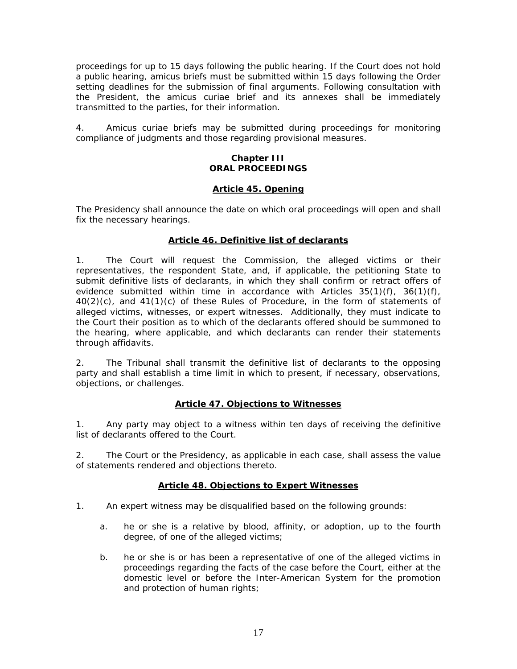proceedings for up to 15 days following the public hearing. If the Court does not hold a public hearing, *amicus* briefs must be submitted within 15 days following the Order setting deadlines for the submission of final arguments. Following consultation with the President, the *amicus curiae* brief and its annexes shall be immediately transmitted to the parties, for their information.

4. *Amicus curiae* briefs may be submitted during proceedings for monitoring compliance of judgments and those regarding provisional measures.

#### **Chapter III ORAL PROCEEDINGS**

### **Article 45. Opening**

The Presidency shall announce the date on which oral proceedings will open and shall fix the necessary hearings.

### **Article 46. Definitive list of declarants**

1. The Court will request the Commission, the alleged victims or their representatives, the respondent State, and, if applicable, the petitioning State to submit definitive lists of declarants, in which they shall confirm or retract offers of evidence submitted within time in accordance with Articles  $35(1)(f)$ ,  $36(1)(f)$ ,  $40(2)(c)$ , and  $41(1)(c)$  of these Rules of Procedure, in the form of statements of alleged victims, witnesses, or expert witnesses. Additionally, they must indicate to the Court their position as to which of the declarants offered should be summoned to the hearing, where applicable, and which declarants can render their statements through affidavits.

2. The Tribunal shall transmit the definitive list of declarants to the opposing party and shall establish a time limit in which to present, if necessary, observations, objections, or challenges.

# **Article 47. Objections to Witnesses**

1. Any party may object to a witness within ten days of receiving the definitive list of declarants offered to the Court.

2. The Court or the Presidency, as applicable in each case, shall assess the value of statements rendered and objections thereto.

# **Article 48. Objections to Expert Witnesses**

1. An expert witness may be disqualified based on the following grounds:

- a. he or she is a relative by blood, affinity, or adoption, up to the fourth degree, of one of the alleged victims;
- b. he or she is or has been a representative of one of the alleged victims in proceedings regarding the facts of the case before the Court, either at the domestic level or before the Inter-American System for the promotion and protection of human rights;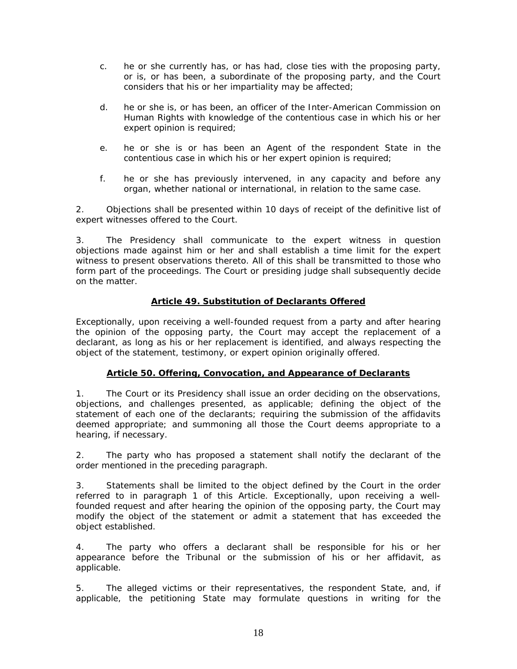- c. he or she currently has, or has had, close ties with the proposing party, or is, or has been, a subordinate of the proposing party, and the Court considers that his or her impartiality may be affected;
- d. he or she is, or has been, an officer of the Inter-American Commission on Human Rights with knowledge of the contentious case in which his or her expert opinion is required;
- e. he or she is or has been an Agent of the respondent State in the contentious case in which his or her expert opinion is required;
- f. he or she has previously intervened, in any capacity and before any organ, whether national or international, in relation to the same case.

2. Objections shall be presented within 10 days of receipt of the definitive list of expert witnesses offered to the Court.

3. The Presidency shall communicate to the expert witness in question objections made against him or her and shall establish a time limit for the expert witness to present observations thereto. All of this shall be transmitted to those who form part of the proceedings. The Court or presiding judge shall subsequently decide on the matter.

### **Article 49. Substitution of Declarants Offered**

Exceptionally, upon receiving a well-founded request from a party and after hearing the opinion of the opposing party, the Court may accept the replacement of a declarant, as long as his or her replacement is identified, and always respecting the object of the statement, testimony, or expert opinion originally offered.

### **Article 50. Offering, Convocation, and Appearance of Declarants**

1. The Court or its Presidency shall issue an order deciding on the observations, objections, and challenges presented, as applicable; defining the object of the statement of each one of the declarants; requiring the submission of the affidavits deemed appropriate; and summoning all those the Court deems appropriate to a hearing, if necessary.

2. The party who has proposed a statement shall notify the declarant of the order mentioned in the preceding paragraph.

3. Statements shall be limited to the object defined by the Court in the order referred to in paragraph 1 of this Article. Exceptionally, upon receiving a wellfounded request and after hearing the opinion of the opposing party, the Court may modify the object of the statement or admit a statement that has exceeded the object established.

4. The party who offers a declarant shall be responsible for his or her appearance before the Tribunal or the submission of his or her affidavit, as applicable.

5. The alleged victims or their representatives, the respondent State, and, if applicable, the petitioning State may formulate questions in writing for the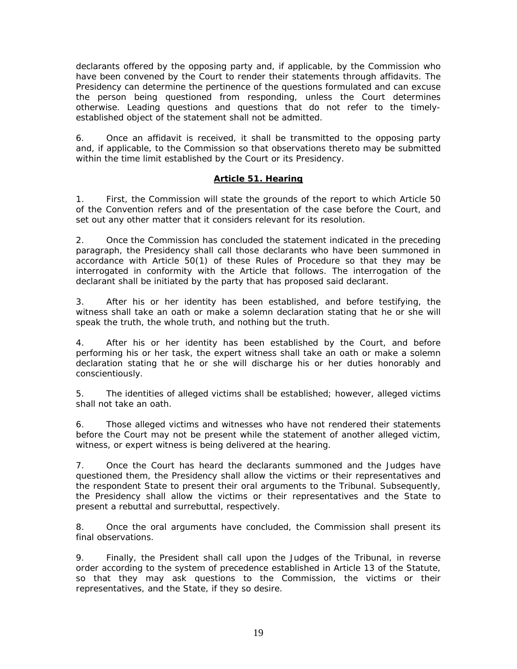declarants offered by the opposing party and, if applicable, by the Commission who have been convened by the Court to render their statements through affidavits. The Presidency can determine the pertinence of the questions formulated and can excuse the person being questioned from responding, unless the Court determines otherwise. Leading questions and questions that do not refer to the timelyestablished object of the statement shall not be admitted.

6. Once an affidavit is received, it shall be transmitted to the opposing party and, if applicable, to the Commission so that observations thereto may be submitted within the time limit established by the Court or its Presidency.

### **Article 51. Hearing**

1. First, the Commission will state the grounds of the report to which Article 50 of the Convention refers and of the presentation of the case before the Court, and set out any other matter that it considers relevant for its resolution.

2. Once the Commission has concluded the statement indicated in the preceding paragraph, the Presidency shall call those declarants who have been summoned in accordance with Article 50(1) of these Rules of Procedure so that they may be interrogated in conformity with the Article that follows. The interrogation of the declarant shall be initiated by the party that has proposed said declarant.

3. After his or her identity has been established, and before testifying, the witness shall take an oath or make a solemn declaration stating that he or she will speak the truth, the whole truth, and nothing but the truth.

4. After his or her identity has been established by the Court, and before performing his or her task, the expert witness shall take an oath or make a solemn declaration stating that he or she will discharge his or her duties honorably and conscientiously.

5. The identities of alleged victims shall be established; however, alleged victims shall not take an oath.

6. Those alleged victims and witnesses who have not rendered their statements before the Court may not be present while the statement of another alleged victim, witness, or expert witness is being delivered at the hearing.

7. Once the Court has heard the declarants summoned and the Judges have questioned them, the Presidency shall allow the victims or their representatives and the respondent State to present their oral arguments to the Tribunal. Subsequently, the Presidency shall allow the victims or their representatives and the State to present a rebuttal and surrebuttal, respectively.

8. Once the oral arguments have concluded, the Commission shall present its final observations.

9. Finally, the President shall call upon the Judges of the Tribunal, in reverse order according to the system of precedence established in Article 13 of the Statute, so that they may ask questions to the Commission, the victims or their representatives, and the State, if they so desire.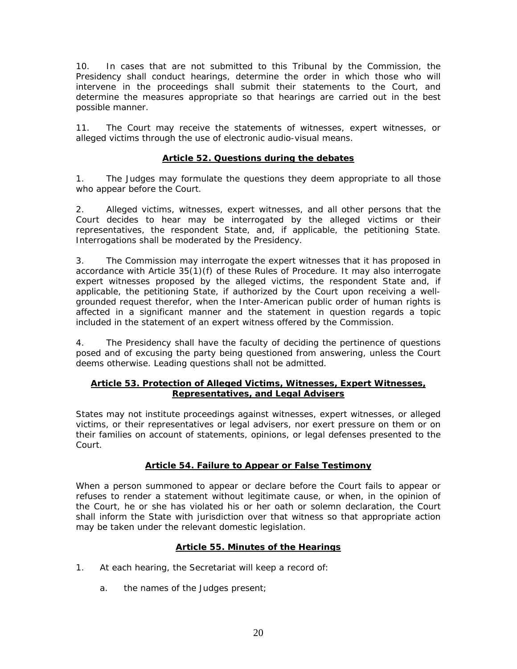10. In cases that are not submitted to this Tribunal by the Commission, the Presidency shall conduct hearings, determine the order in which those who will intervene in the proceedings shall submit their statements to the Court, and determine the measures appropriate so that hearings are carried out in the best possible manner.

11. The Court may receive the statements of witnesses, expert witnesses, or alleged victims through the use of electronic audio-visual means.

## **Article 52. Questions during the debates**

1. The Judges may formulate the questions they deem appropriate to all those who appear before the Court.

2. Alleged victims, witnesses, expert witnesses, and all other persons that the Court decides to hear may be interrogated by the alleged victims or their representatives, the respondent State, and, if applicable, the petitioning State. Interrogations shall be moderated by the Presidency.

3. The Commission may interrogate the expert witnesses that it has proposed in accordance with Article 35(1)(f) of these Rules of Procedure. It may also interrogate expert witnesses proposed by the alleged victims, the respondent State and, if applicable, the petitioning State, if authorized by the Court upon receiving a wellgrounded request therefor, when the Inter-American public order of human rights is affected in a significant manner and the statement in question regards a topic included in the statement of an expert witness offered by the Commission.

4. The Presidency shall have the faculty of deciding the pertinence of questions posed and of excusing the party being questioned from answering, unless the Court deems otherwise. Leading questions shall not be admitted.

### **Article 53. Protection of Alleged Victims, Witnesses, Expert Witnesses, Representatives, and Legal Advisers**

States may not institute proceedings against witnesses, expert witnesses, or alleged victims, or their representatives or legal advisers, nor exert pressure on them or on their families on account of statements, opinions, or legal defenses presented to the Court.

### **Article 54. Failure to Appear or False Testimony**

When a person summoned to appear or declare before the Court fails to appear or refuses to render a statement without legitimate cause, or when, in the opinion of the Court, he or she has violated his or her oath or solemn declaration, the Court shall inform the State with jurisdiction over that witness so that appropriate action may be taken under the relevant domestic legislation.

# **Article 55. Minutes of the Hearings**

- 1. At each hearing, the Secretariat will keep a record of:
	- a. the names of the Judges present;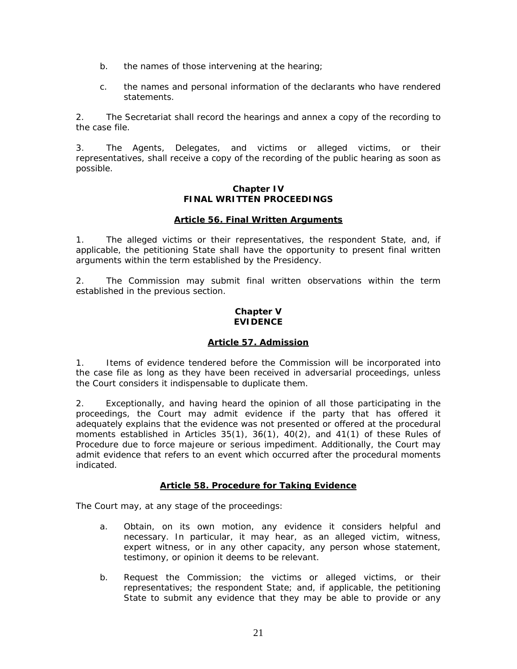- b. the names of those intervening at the hearing;
- c. the names and personal information of the declarants who have rendered statements.

2. The Secretariat shall record the hearings and annex a copy of the recording to the case file.

3. The Agents, Delegates, and victims or alleged victims, or their representatives, shall receive a copy of the recording of the public hearing as soon as possible.

#### **Chapter IV FINAL WRITTEN PROCEEDINGS**

### **Article 56. Final Written Arguments**

1. The alleged victims or their representatives, the respondent State, and, if applicable, the petitioning State shall have the opportunity to present final written arguments within the term established by the Presidency.

2. The Commission may submit final written observations within the term established in the previous section.

#### **Chapter V EVIDENCE**

### **Article 57. Admission**

1. Items of evidence tendered before the Commission will be incorporated into the case file as long as they have been received in adversarial proceedings, unless the Court considers it indispensable to duplicate them.

2. Exceptionally, and having heard the opinion of all those participating in the proceedings, the Court may admit evidence if the party that has offered it adequately explains that the evidence was not presented or offered at the procedural moments established in Articles 35(1), 36(1), 40(2), and 41(1) of these Rules of Procedure due to *force majeure* or serious impediment. Additionally, the Court may admit evidence that refers to an event which occurred after the procedural moments indicated.

### **Article 58. Procedure for Taking Evidence**

The Court may, at any stage of the proceedings:

- a. Obtain, on its own motion, any evidence it considers helpful and necessary. In particular, it may hear, as an alleged victim, witness, expert witness, or in any other capacity, any person whose statement, testimony, or opinion it deems to be relevant.
- b. Request the Commission; the victims or alleged victims, or their representatives; the respondent State; and, if applicable, the petitioning State to submit any evidence that they may be able to provide or any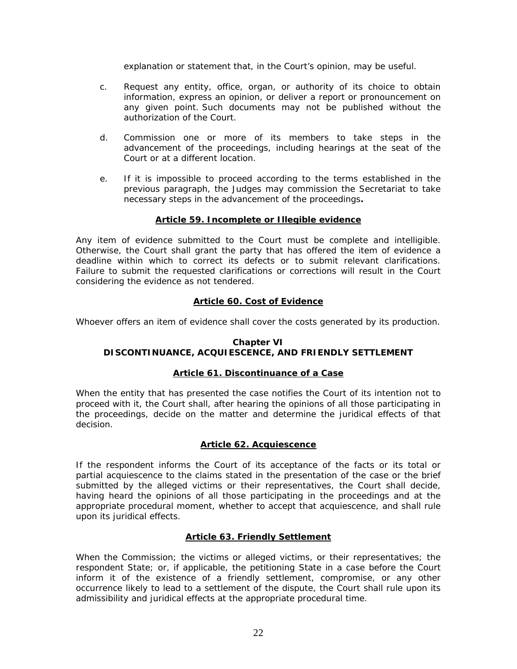explanation or statement that, in the Court's opinion, may be useful.

- c. Request any entity, office, organ, or authority of its choice to obtain information, express an opinion, or deliver a report or pronouncement on any given point. Such documents may not be published without the authorization of the Court.
- d. Commission one or more of its members to take steps in the advancement of the proceedings, including hearings at the seat of the Court or at a different location.
- e. If it is impossible to proceed according to the terms established in the previous paragraph, the Judges may commission the Secretariat to take necessary steps in the advancement of the proceedings**.**

### **Article 59. Incomplete or Illegible evidence**

Any item of evidence submitted to the Court must be complete and intelligible. Otherwise, the Court shall grant the party that has offered the item of evidence a deadline within which to correct its defects or to submit relevant clarifications. Failure to submit the requested clarifications or corrections will result in the Court considering the evidence as not tendered.

### **Article 60. Cost of Evidence**

Whoever offers an item of evidence shall cover the costs generated by its production.

### **Chapter VI DISCONTINUANCE, ACQUIESCENCE, AND FRIENDLY SETTLEMENT**

### **Article 61. Discontinuance of a Case**

When the entity that has presented the case notifies the Court of its intention not to proceed with it, the Court shall, after hearing the opinions of all those participating in the proceedings, decide on the matter and determine the juridical effects of that decision.

### **Article 62. Acquiescence**

If the respondent informs the Court of its acceptance of the facts or its total or partial acquiescence to the claims stated in the presentation of the case or the brief submitted by the alleged victims or their representatives, the Court shall decide, having heard the opinions of all those participating in the proceedings and at the appropriate procedural moment, whether to accept that acquiescence, and shall rule upon its juridical effects.

### **Article 63. Friendly Settlement**

When the Commission; the victims or alleged victims, or their representatives; the respondent State; or, if applicable, the petitioning State in a case before the Court inform it of the existence of a friendly settlement, compromise, or any other occurrence likely to lead to a settlement of the dispute, the Court shall rule upon its admissibility and juridical effects at the appropriate procedural time.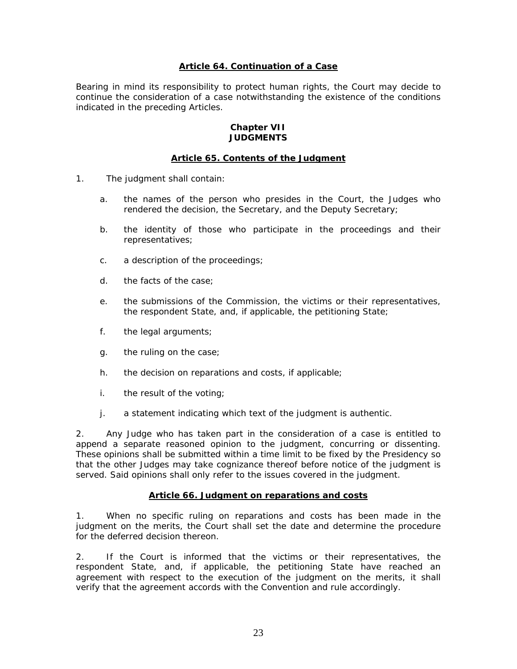### **Article 64. Continuation of a Case**

Bearing in mind its responsibility to protect human rights, the Court may decide to continue the consideration of a case notwithstanding the existence of the conditions indicated in the preceding Articles.

#### **Chapter VII JUDGMENTS**

#### **Article 65. Contents of the Judgment**

- 1. The judgment shall contain:
	- a. the names of the person who presides in the Court, the Judges who rendered the decision, the Secretary, and the Deputy Secretary;
	- b. the identity of those who participate in the proceedings and their representatives;
	- c. a description of the proceedings;
	- d. the facts of the case;
	- e. the submissions of the Commission, the victims or their representatives, the respondent State, and, if applicable, the petitioning State;
	- f. the legal arguments;
	- g. the ruling on the case;
	- h. the decision on reparations and costs, if applicable;
	- i. the result of the voting;
	- j. a statement indicating which text of the judgment is authentic.

2. Any Judge who has taken part in the consideration of a case is entitled to append a separate reasoned opinion to the judgment, concurring or dissenting. These opinions shall be submitted within a time limit to be fixed by the Presidency so that the other Judges may take cognizance thereof before notice of the judgment is served. Said opinions shall only refer to the issues covered in the judgment.

#### **Article 66. Judgment on reparations and costs**

1. When no specific ruling on reparations and costs has been made in the judgment on the merits, the Court shall set the date and determine the procedure for the deferred decision thereon.

2. If the Court is informed that the victims or their representatives, the respondent State, and, if applicable, the petitioning State have reached an agreement with respect to the execution of the judgment on the merits, it shall verify that the agreement accords with the Convention and rule accordingly.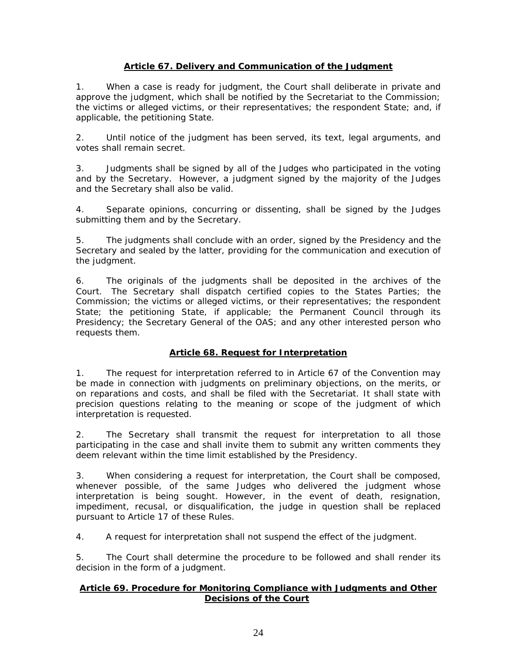## **Article 67. Delivery and Communication of the Judgment**

1. When a case is ready for judgment, the Court shall deliberate in private and approve the judgment, which shall be notified by the Secretariat to the Commission; the victims or alleged victims, or their representatives; the respondent State; and, if applicable, the petitioning State.

2. Until notice of the judgment has been served, its text, legal arguments, and votes shall remain secret.

3. Judgments shall be signed by all of the Judges who participated in the voting and by the Secretary. However, a judgment signed by the majority of the Judges and the Secretary shall also be valid.

4. Separate opinions, concurring or dissenting, shall be signed by the Judges submitting them and by the Secretary.

5. The judgments shall conclude with an order, signed by the Presidency and the Secretary and sealed by the latter, providing for the communication and execution of the judgment.

6. The originals of the judgments shall be deposited in the archives of the Court. The Secretary shall dispatch certified copies to the States Parties; the Commission; the victims or alleged victims, or their representatives; the respondent State; the petitioning State, if applicable; the Permanent Council through its Presidency; the Secretary General of the OAS; and any other interested person who requests them.

# **Article 68. Request for Interpretation**

1. The request for interpretation referred to in Article 67 of the Convention may be made in connection with judgments on preliminary objections, on the merits, or on reparations and costs, and shall be filed with the Secretariat. It shall state with precision questions relating to the meaning or scope of the judgment of which interpretation is requested.

2. The Secretary shall transmit the request for interpretation to all those participating in the case and shall invite them to submit any written comments they deem relevant within the time limit established by the Presidency.

3. When considering a request for interpretation, the Court shall be composed, whenever possible, of the same Judges who delivered the judgment whose interpretation is being sought. However, in the event of death, resignation, impediment, recusal, or disqualification, the judge in question shall be replaced pursuant to Article 17 of these Rules.

4. A request for interpretation shall not suspend the effect of the judgment.

5. The Court shall determine the procedure to be followed and shall render its decision in the form of a judgment.

### **Article 69. Procedure for Monitoring Compliance with Judgments and Other Decisions of the Court**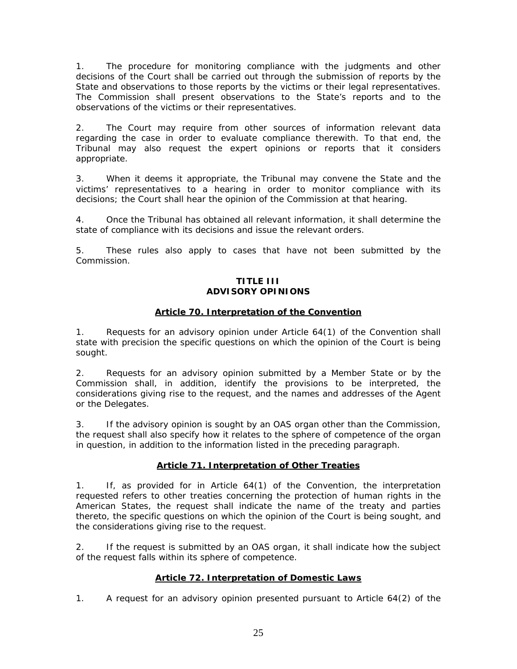1. The procedure for monitoring compliance with the judgments and other decisions of the Court shall be carried out through the submission of reports by the State and observations to those reports by the victims or their legal representatives. The Commission shall present observations to the State's reports and to the observations of the victims or their representatives.

2. The Court may require from other sources of information relevant data regarding the case in order to evaluate compliance therewith. To that end, the Tribunal may also request the expert opinions or reports that it considers appropriate.

3. When it deems it appropriate, the Tribunal may convene the State and the victims' representatives to a hearing in order to monitor compliance with its decisions; the Court shall hear the opinion of the Commission at that hearing.

4. Once the Tribunal has obtained all relevant information, it shall determine the state of compliance with its decisions and issue the relevant orders.

5. These rules also apply to cases that have not been submitted by the Commission.

### **TITLE III ADVISORY OPINIONS**

### **Article 70. Interpretation of the Convention**

1. Requests for an advisory opinion under Article 64(1) of the Convention shall state with precision the specific questions on which the opinion of the Court is being sought.

2. Requests for an advisory opinion submitted by a Member State or by the Commission shall, in addition, identify the provisions to be interpreted, the considerations giving rise to the request, and the names and addresses of the Agent or the Delegates.

3. If the advisory opinion is sought by an OAS organ other than the Commission, the request shall also specify how it relates to the sphere of competence of the organ in question, in addition to the information listed in the preceding paragraph.

# **Article 71. Interpretation of Other Treaties**

1. If, as provided for in Article 64(1) of the Convention, the interpretation requested refers to other treaties concerning the protection of human rights in the American States, the request shall indicate the name of the treaty and parties thereto, the specific questions on which the opinion of the Court is being sought, and the considerations giving rise to the request.

2. If the request is submitted by an OAS organ, it shall indicate how the subject of the request falls within its sphere of competence.

# **Article 72. Interpretation of Domestic Laws**

1. A request for an advisory opinion presented pursuant to Article 64(2) of the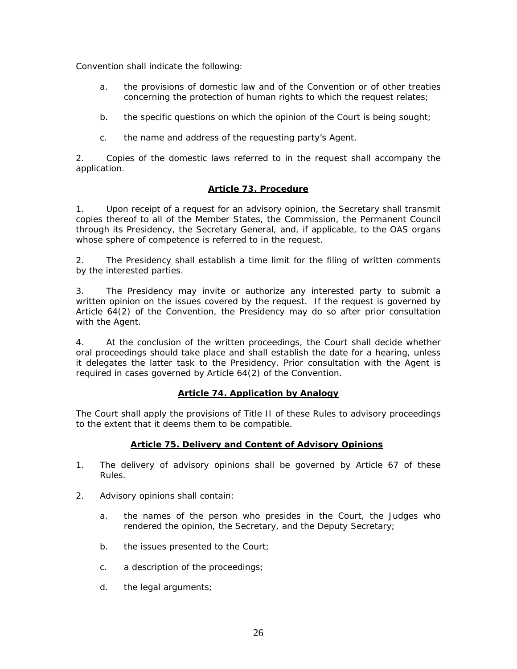Convention shall indicate the following:

- a. the provisions of domestic law and of the Convention or of other treaties concerning the protection of human rights to which the request relates;
- b. the specific questions on which the opinion of the Court is being sought;
- c. the name and address of the requesting party's Agent.

2. Copies of the domestic laws referred to in the request shall accompany the application.

### **Article 73. Procedure**

1. Upon receipt of a request for an advisory opinion, the Secretary shall transmit copies thereof to all of the Member States, the Commission, the Permanent Council through its Presidency, the Secretary General, and, if applicable, to the OAS organs whose sphere of competence is referred to in the request.

2. The Presidency shall establish a time limit for the filing of written comments by the interested parties.

3. The Presidency may invite or authorize any interested party to submit a written opinion on the issues covered by the request. If the request is governed by Article 64(2) of the Convention, the Presidency may do so after prior consultation with the Agent.

4. At the conclusion of the written proceedings, the Court shall decide whether oral proceedings should take place and shall establish the date for a hearing, unless it delegates the latter task to the Presidency. Prior consultation with the Agent is required in cases governed by Article 64(2) of the Convention.

# **Article 74. Application by Analogy**

The Court shall apply the provisions of Title II of these Rules to advisory proceedings to the extent that it deems them to be compatible.

### **Article 75. Delivery and Content of Advisory Opinions**

- 1. The delivery of advisory opinions shall be governed by Article 67 of these Rules.
- 2. Advisory opinions shall contain:
	- a. the names of the person who presides in the Court, the Judges who rendered the opinion, the Secretary, and the Deputy Secretary;
	- b. the issues presented to the Court;
	- c. a description of the proceedings;
	- d. the legal arguments;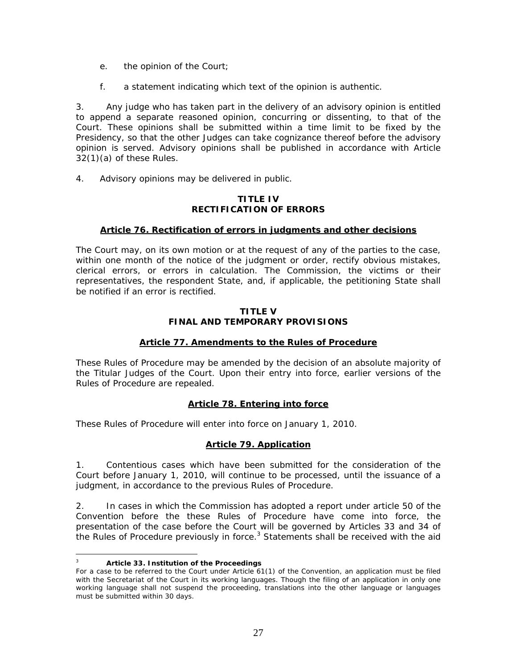- e. the opinion of the Court;
- f. a statement indicating which text of the opinion is authentic.

3. Any judge who has taken part in the delivery of an advisory opinion is entitled to append a separate reasoned opinion, concurring or dissenting, to that of the Court. These opinions shall be submitted within a time limit to be fixed by the Presidency, so that the other Judges can take cognizance thereof before the advisory opinion is served. Advisory opinions shall be published in accordance with Article 32(1)(a) of these Rules.

4. Advisory opinions may be delivered in public.

## **TITLE IV RECTIFICATION OF ERRORS**

### **Article 76. Rectification of errors in judgments and other decisions**

The Court may, on its own motion or at the request of any of the parties to the case, within one month of the notice of the judgment or order, rectify obvious mistakes, clerical errors, or errors in calculation. The Commission, the victims or their representatives, the respondent State, and, if applicable, the petitioning State shall be notified if an error is rectified.

#### **TITLE V FINAL AND TEMPORARY PROVISIONS**

### **Article 77. Amendments to the Rules of Procedure**

These Rules of Procedure may be amended by the decision of an absolute majority of the Titular Judges of the Court. Upon their entry into force, earlier versions of the Rules of Procedure are repealed.

# **Article 78. Entering into force**

These Rules of Procedure will enter into force on January 1, 2010.

### **Article 79. Application**

1. Contentious cases which have been submitted for the consideration of the Court before January 1, 2010, will continue to be processed, until the issuance of a judgment, in accordance to the previous Rules of Procedure.

2. In cases in which the Commission has adopted a report under article 50 of the Convention before the these Rules of Procedure have come into force, the presentation of the case before the Court will be governed by Articles 33 and 34 of the Rules of Procedure previously in force.<sup>3</sup> Statements shall be received with the aid

 $\frac{1}{3}$ **Article 33. Institution of the Proceedings**

For a case to be referred to the Court under Article 61(1) of the Convention, an application must be filed with the Secretariat of the Court in its working languages. Though the filing of an application in only one working language shall not suspend the proceeding, translations into the other language or languages must be submitted within 30 days.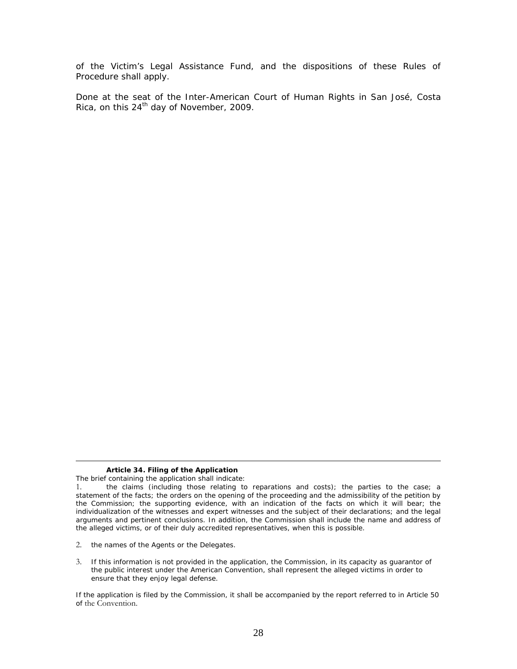of the Victim's Legal Assistance Fund, and the dispositions of these Rules of Procedure shall apply.

Done at the seat of the Inter-American Court of Human Rights in San José, Costa Rica, on this  $24<sup>th</sup>$  day of November, 2009.

#### **Article 34. Filing of the Application**

The brief containing the application shall indicate:

 $\overline{a}$ 

- 2. the names of the Agents or the Delegates.
- 3. If this information is not provided in the application, the Commission, in its capacity as guarantor of the public interest under the American Convention, shall represent the alleged victims in order to ensure that they enjoy legal defense.

If the application is filed by the Commission, it shall be accompanied by the report referred to in Article 50 of the Convention.

<sup>1.</sup> the claims (including those relating to reparations and costs); the parties to the case; a statement of the facts; the orders on the opening of the proceeding and the admissibility of the petition by the Commission; the supporting evidence, with an indication of the facts on which it will bear; the individualization of the witnesses and expert witnesses and the subject of their declarations; and the legal arguments and pertinent conclusions. In addition, the Commission shall include the name and address of the alleged victims, or of their duly accredited representatives, when this is possible.